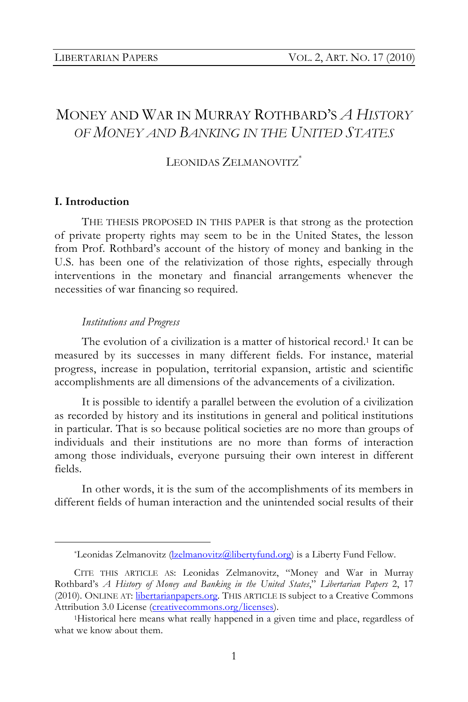# MONEY AND WAR IN MURRAY ROTHBARD'S *A HISTORY OF MONEY AND BANKING IN THE UNITED STATES*

# LEONIDAS ZELMANOVITZ\*

### **I. Introduction**

THE THESIS PROPOSED IN THIS PAPER is that strong as the protection of private property rights may seem to be in the United States, the lesson from Prof. Rothbard's account of the history of money and banking in the U.S. has been one of the relativization of those rights, especially through interventions in the monetary and financial arrangements whenever the necessities of war financing so required.

#### *Institutions and Progress*

The evolution of a civilization is a matter of historical record.1 It can be measured by its successes in many different fields. For instance, material progress, increase in population, territorial expansion, artistic and scientific accomplishments are all dimensions of the advancements of a civilization.

It is possible to identify a parallel between the evolution of a civilization as recorded by history and its institutions in general and political institutions in particular. That is so because political societies are no more than groups of individuals and their institutions are no more than forms of interaction among those individuals, everyone pursuing their own interest in different fields.

In other words, it is the sum of the accomplishments of its members in different fields of human interaction and the unintended social results of their

<sup>\*</sup>Leonidas Zelmanovitz (*lzelmanovitz@libertyfund.org*) is a Liberty Fund Fellow.

CITE THIS ARTICLE AS: Leonidas Zelmanovitz, "Money and War in Murray Rothbard's *A History of Money and Banking in the United States*," *Libertarian Papers* 2, 17 (2010). ONLINE AT: libertarianpapers.org. THIS ARTICLE IS subject to a Creative Commons Attribution 3.0 License (creativecommons.org/licenses).

<sup>1</sup>Historical here means what really happened in a given time and place, regardless of what we know about them.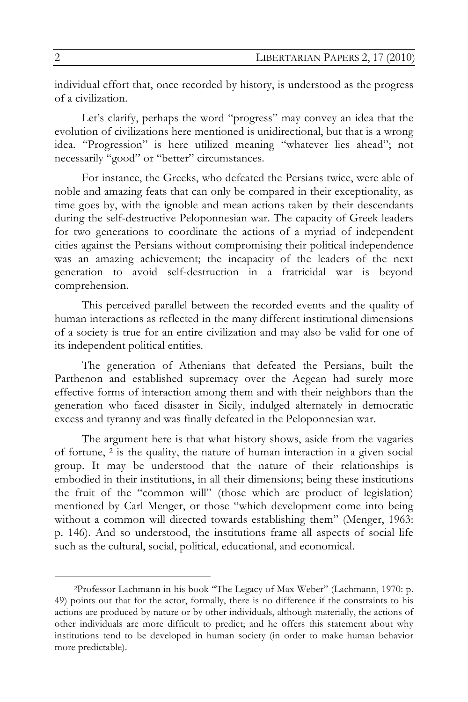individual effort that, once recorded by history, is understood as the progress of a civilization.

Let's clarify, perhaps the word "progress" may convey an idea that the evolution of civilizations here mentioned is unidirectional, but that is a wrong idea. "Progression" is here utilized meaning "whatever lies ahead"; not necessarily "good" or "better" circumstances.

For instance, the Greeks, who defeated the Persians twice, were able of noble and amazing feats that can only be compared in their exceptionality, as time goes by, with the ignoble and mean actions taken by their descendants during the self-destructive Peloponnesian war. The capacity of Greek leaders for two generations to coordinate the actions of a myriad of independent cities against the Persians without compromising their political independence was an amazing achievement; the incapacity of the leaders of the next generation to avoid self-destruction in a fratricidal war is beyond comprehension.

This perceived parallel between the recorded events and the quality of human interactions as reflected in the many different institutional dimensions of a society is true for an entire civilization and may also be valid for one of its independent political entities.

The generation of Athenians that defeated the Persians, built the Parthenon and established supremacy over the Aegean had surely more effective forms of interaction among them and with their neighbors than the generation who faced disaster in Sicily, indulged alternately in democratic excess and tyranny and was finally defeated in the Peloponnesian war.

The argument here is that what history shows, aside from the vagaries of fortune, 2 is the quality, the nature of human interaction in a given social group. It may be understood that the nature of their relationships is embodied in their institutions, in all their dimensions; being these institutions the fruit of the "common will" (those which are product of legislation) mentioned by Carl Menger, or those "which development come into being without a common will directed towards establishing them" (Menger, 1963: p. 146). And so understood, the institutions frame all aspects of social life such as the cultural, social, political, educational, and economical.

 <sup>2</sup>Professor Lachmann in his book "The Legacy of Max Weber" (Lachmann, 1970: p. 49) points out that for the actor, formally, there is no difference if the constraints to his actions are produced by nature or by other individuals, although materially, the actions of other individuals are more difficult to predict; and he offers this statement about why institutions tend to be developed in human society (in order to make human behavior more predictable).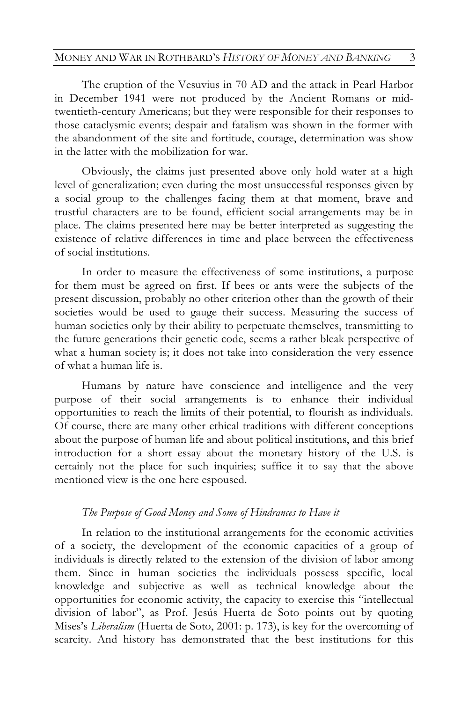The eruption of the Vesuvius in 70 AD and the attack in Pearl Harbor in December 1941 were not produced by the Ancient Romans or midtwentieth-century Americans; but they were responsible for their responses to those cataclysmic events; despair and fatalism was shown in the former with the abandonment of the site and fortitude, courage, determination was show in the latter with the mobilization for war.

Obviously, the claims just presented above only hold water at a high level of generalization; even during the most unsuccessful responses given by a social group to the challenges facing them at that moment, brave and trustful characters are to be found, efficient social arrangements may be in place. The claims presented here may be better interpreted as suggesting the existence of relative differences in time and place between the effectiveness of social institutions.

In order to measure the effectiveness of some institutions, a purpose for them must be agreed on first. If bees or ants were the subjects of the present discussion, probably no other criterion other than the growth of their societies would be used to gauge their success. Measuring the success of human societies only by their ability to perpetuate themselves, transmitting to the future generations their genetic code, seems a rather bleak perspective of what a human society is; it does not take into consideration the very essence of what a human life is.

Humans by nature have conscience and intelligence and the very purpose of their social arrangements is to enhance their individual opportunities to reach the limits of their potential, to flourish as individuals. Of course, there are many other ethical traditions with different conceptions about the purpose of human life and about political institutions, and this brief introduction for a short essay about the monetary history of the U.S. is certainly not the place for such inquiries; suffice it to say that the above mentioned view is the one here espoused.

# *The Purpose of Good Money and Some of Hindrances to Have it*

In relation to the institutional arrangements for the economic activities of a society, the development of the economic capacities of a group of individuals is directly related to the extension of the division of labor among them. Since in human societies the individuals possess specific, local knowledge and subjective as well as technical knowledge about the opportunities for economic activity, the capacity to exercise this "intellectual division of labor", as Prof. Jesús Huerta de Soto points out by quoting Mises's *Liberalism* (Huerta de Soto, 2001: p. 173), is key for the overcoming of scarcity. And history has demonstrated that the best institutions for this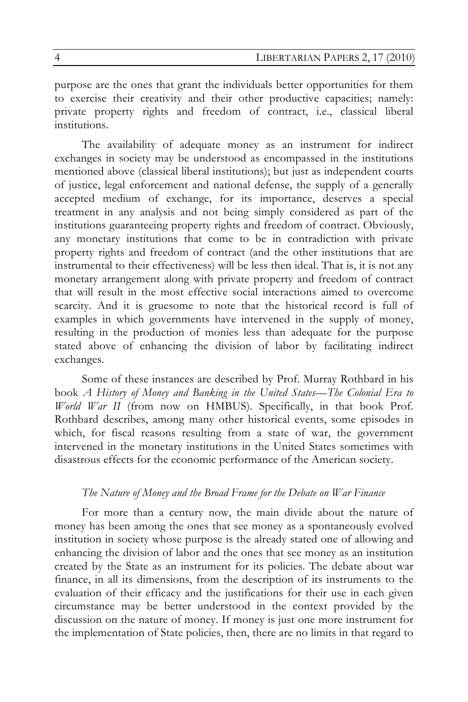purpose are the ones that grant the individuals better opportunities for them to exercise their creativity and their other productive capacities; namely: private property rights and freedom of contract, i.e., classical liberal institutions.

The availability of adequate money as an instrument for indirect exchanges in society may be understood as encompassed in the institutions mentioned above (classical liberal institutions); but just as independent courts of justice, legal enforcement and national defense, the supply of a generally accepted medium of exchange, for its importance, deserves a special treatment in any analysis and not being simply considered as part of the institutions guaranteeing property rights and freedom of contract. Obviously, any monetary institutions that come to be in contradiction with private property rights and freedom of contract (and the other institutions that are instrumental to their effectiveness) will be less then ideal. That is, it is not any monetary arrangement along with private property and freedom of contract that will result in the most effective social interactions aimed to overcome scarcity. And it is gruesome to note that the historical record is full of examples in which governments have intervened in the supply of money, resulting in the production of monies less than adequate for the purpose stated above of enhancing the division of labor by facilitating indirect exchanges.

Some of these instances are described by Prof. Murray Rothbard in his book *A History of Money and Banking in the United States—The Colonial Era to World War II* (from now on HMBUS). Specifically, in that book Prof. Rothbard describes, among many other historical events, some episodes in which, for fiscal reasons resulting from a state of war, the government intervened in the monetary institutions in the United States sometimes with disastrous effects for the economic performance of the American society.

# *The Nature of Money and the Broad Frame for the Debate on War Finance*

For more than a century now, the main divide about the nature of money has been among the ones that see money as a spontaneously evolved institution in society whose purpose is the already stated one of allowing and enhancing the division of labor and the ones that see money as an institution created by the State as an instrument for its policies. The debate about war finance, in all its dimensions, from the description of its instruments to the evaluation of their efficacy and the justifications for their use in each given circumstance may be better understood in the context provided by the discussion on the nature of money. If money is just one more instrument for the implementation of State policies, then, there are no limits in that regard to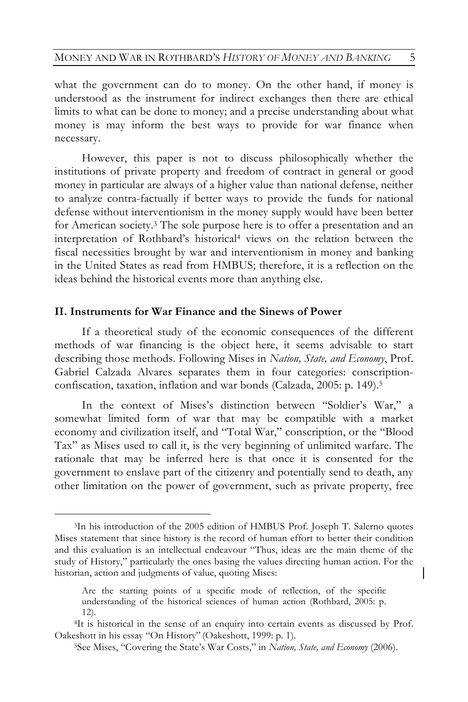what the government can do to money. On the other hand, if money is understood as the instrument for indirect exchanges then there are ethical limits to what can be done to money; and a precise understanding about what money is may inform the best ways to provide for war finance when necessary.

However, this paper is not to discuss philosophically whether the institutions of private property and freedom of contract in general or good money in particular are always of a higher value than national defense, neither to analyze contra-factually if better ways to provide the funds for national defense without interventionism in the money supply would have been better for American society.3 The sole purpose here is to offer a presentation and an interpretation of Rothbard's historical<sup>4</sup> views on the relation between the fiscal necessities brought by war and interventionism in money and banking in the United States as read from HMBUS; therefore, it is a reflection on the ideas behind the historical events more than anything else.

#### **II. Instruments for War Finance and the Sinews of Power**

If a theoretical study of the economic consequences of the different methods of war financing is the object here, it seems advisable to start describing those methods. Following Mises in *Nation, State, and Economy*, Prof. Gabriel Calzada Alvares separates them in four categories: conscriptionconfiscation, taxation, inflation and war bonds (Calzada, 2005: p. 149).5

In the context of Mises's distinction between "Soldier's War," a somewhat limited form of war that may be compatible with a market economy and civilization itself, and "Total War," conscription, or the "Blood Tax" as Mises used to call it, is the very beginning of unlimited warfare. The rationale that may be inferred here is that once it is consented for the government to enslave part of the citizenry and potentially send to death, any other limitation on the power of government, such as private property, free

 <sup>3</sup>In his introduction of the 2005 edition of HMBUS Prof. Joseph T. Salerno quotes Mises statement that since history is the record of human effort to better their condition and this evaluation is an intellectual endeavour "Thus, ideas are the main theme of the study of History," particularly the ones basing the values directing human action. For the historian, action and judgments of value, quoting Mises:

Are the starting points of a specific mode of reflection, of the specific understanding of the historical sciences of human action (Rothbard, 2005: p. 12).

<sup>4</sup>It is historical in the sense of an enquiry into certain events as discussed by Prof. Oakeshott in his essay "On History" (Oakeshott, 1999: p. 1).

<sup>5</sup>See Mises, "Covering the State's War Costs," in *Nation, State, and Economy* (2006).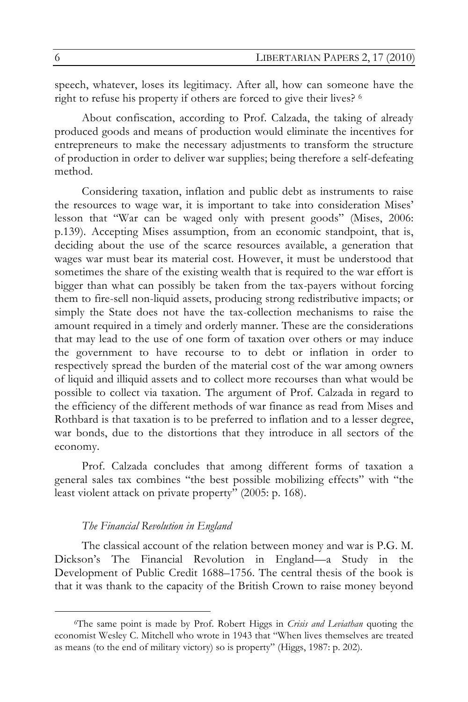speech, whatever, loses its legitimacy. After all, how can someone have the right to refuse his property if others are forced to give their lives? 6

About confiscation, according to Prof. Calzada, the taking of already produced goods and means of production would eliminate the incentives for entrepreneurs to make the necessary adjustments to transform the structure of production in order to deliver war supplies; being therefore a self-defeating method.

Considering taxation, inflation and public debt as instruments to raise the resources to wage war, it is important to take into consideration Mises' lesson that "War can be waged only with present goods" (Mises, 2006: p.139).Accepting Mises assumption, from an economic standpoint, that is, deciding about the use of the scarce resources available, a generation that wages war must bear its material cost. However, it must be understood that sometimes the share of the existing wealth that is required to the war effort is bigger than what can possibly be taken from the tax-payers without forcing them to fire-sell non-liquid assets, producing strong redistributive impacts; or simply the State does not have the tax-collection mechanisms to raise the amount required in a timely and orderly manner. These are the considerations that may lead to the use of one form of taxation over others or may induce the government to have recourse to to debt or inflation in order to respectively spread the burden of the material cost of the war among owners of liquid and illiquid assets and to collect more recourses than what would be possible to collect via taxation. The argument of Prof. Calzada in regard to the efficiency of the different methods of war finance as read from Mises and Rothbard is that taxation is to be preferred to inflation and to a lesser degree, war bonds, due to the distortions that they introduce in all sectors of the economy.

Prof. Calzada concludes that among different forms of taxation a general sales tax combines "the best possible mobilizing effects" with "the least violent attack on private property" (2005: p. 168).

## *The Financial Revolution in England*

The classical account of the relation between money and war is P.G. M. Dickson's The Financial Revolution in England—a Study in the Development of Public Credit 1688–1756. The central thesis of the book is that it was thank to the capacity of the British Crown to raise money beyond

 <sup>6</sup>The same point is made by Prof. Robert Higgs in *Crisis and Leviathan* quoting the economist Wesley C. Mitchell who wrote in 1943 that "When lives themselves are treated as means (to the end of military victory) so is property" (Higgs, 1987: p. 202).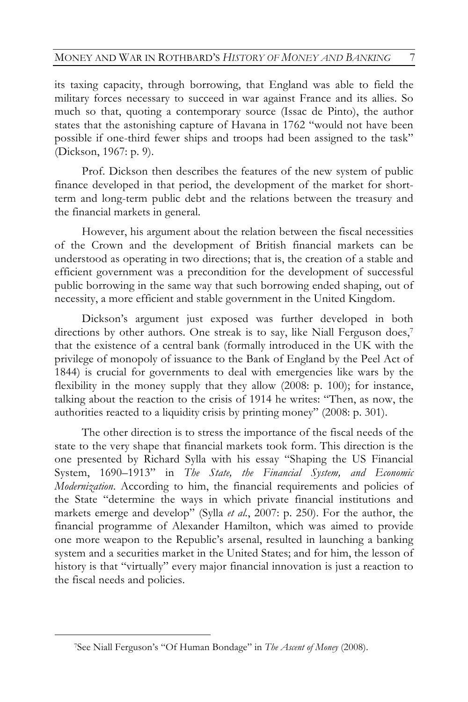its taxing capacity, through borrowing, that England was able to field the military forces necessary to succeed in war against France and its allies. So much so that, quoting a contemporary source (Issac de Pinto), the author states that the astonishing capture of Havana in 1762 "would not have been possible if one-third fewer ships and troops had been assigned to the task" (Dickson, 1967: p. 9).

Prof. Dickson then describes the features of the new system of public finance developed in that period, the development of the market for shortterm and long-term public debt and the relations between the treasury and the financial markets in general.

However, his argument about the relation between the fiscal necessities of the Crown and the development of British financial markets can be understood as operating in two directions; that is, the creation of a stable and efficient government was a precondition for the development of successful public borrowing in the same way that such borrowing ended shaping, out of necessity, a more efficient and stable government in the United Kingdom.

Dickson's argument just exposed was further developed in both directions by other authors. One streak is to say, like Niall Ferguson does,<sup>7</sup> that the existence of a central bank (formally introduced in the UK with the privilege of monopoly of issuance to the Bank of England by the Peel Act of 1844) is crucial for governments to deal with emergencies like wars by the flexibility in the money supply that they allow (2008: p. 100); for instance, talking about the reaction to the crisis of 1914 he writes: "Then, as now, the authorities reacted to a liquidity crisis by printing money" (2008: p. 301).

The other direction is to stress the importance of the fiscal needs of the state to the very shape that financial markets took form. This direction is the one presented by Richard Sylla with his essay "Shaping the US Financial System, 1690–1913" in *The State, the Financial System, and Economic Modernization*. According to him, the financial requirements and policies of the State "determine the ways in which private financial institutions and markets emerge and develop" (Sylla *et al.*, 2007: p. 250). For the author, the financial programme of Alexander Hamilton, which was aimed to provide one more weapon to the Republic's arsenal, resulted in launching a banking system and a securities market in the United States; and for him, the lesson of history is that "virtually" every major financial innovation is just a reaction to the fiscal needs and policies.

 <sup>7</sup>See Niall Ferguson's "Of Human Bondage" in *The Ascent of Money* (2008).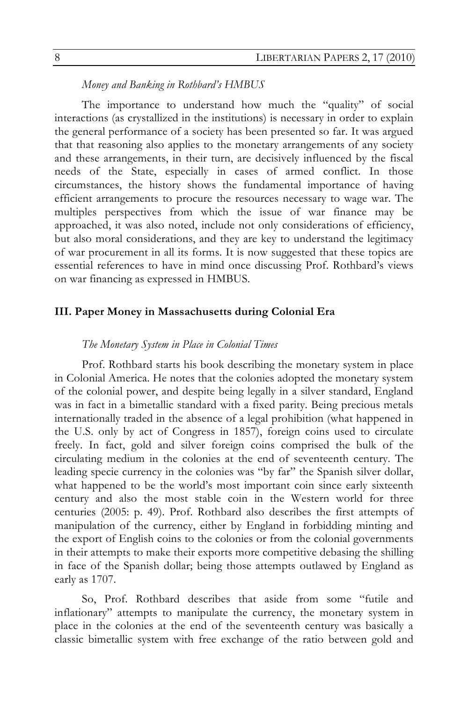*Money and Banking in Rothbard's HMBUS*

The importance to understand how much the "quality" of social interactions (as crystallized in the institutions) is necessary in order to explain the general performance of a society has been presented so far. It was argued that that reasoning also applies to the monetary arrangements of any society and these arrangements, in their turn, are decisively influenced by the fiscal needs of the State, especially in cases of armed conflict. In those circumstances, the history shows the fundamental importance of having efficient arrangements to procure the resources necessary to wage war. The multiples perspectives from which the issue of war finance may be approached, it was also noted, include not only considerations of efficiency, but also moral considerations, and they are key to understand the legitimacy of war procurement in all its forms. It is now suggested that these topics are essential references to have in mind once discussing Prof. Rothbard's views on war financing as expressed in HMBUS.

# **III. Paper Money in Massachusetts during Colonial Era**

#### *The Monetary System in Place in Colonial Times*

Prof. Rothbard starts his book describing the monetary system in place in Colonial America. He notes that the colonies adopted the monetary system of the colonial power, and despite being legally in a silver standard, England was in fact in a bimetallic standard with a fixed parity. Being precious metals internationally traded in the absence of a legal prohibition (what happened in the U.S. only by act of Congress in 1857), foreign coins used to circulate freely. In fact, gold and silver foreign coins comprised the bulk of the circulating medium in the colonies at the end of seventeenth century. The leading specie currency in the colonies was "by far" the Spanish silver dollar, what happened to be the world's most important coin since early sixteenth century and also the most stable coin in the Western world for three centuries (2005: p. 49). Prof. Rothbard also describes the first attempts of manipulation of the currency, either by England in forbidding minting and the export of English coins to the colonies or from the colonial governments in their attempts to make their exports more competitive debasing the shilling in face of the Spanish dollar; being those attempts outlawed by England as early as 1707.

So, Prof. Rothbard describes that aside from some "futile and inflationary" attempts to manipulate the currency, the monetary system in place in the colonies at the end of the seventeenth century was basically a classic bimetallic system with free exchange of the ratio between gold and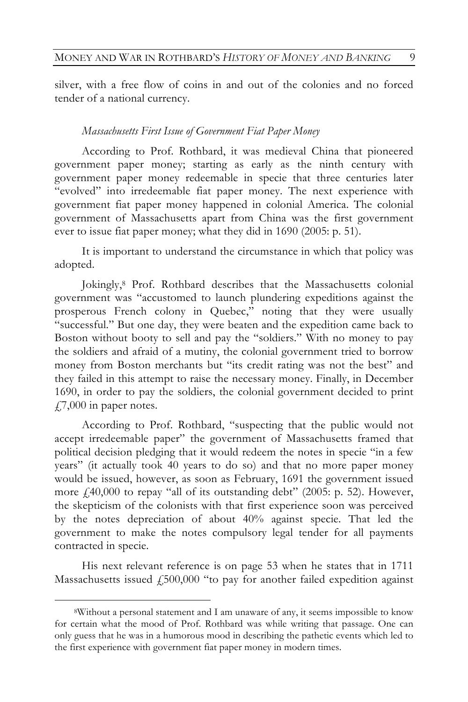silver, with a free flow of coins in and out of the colonies and no forced tender of a national currency.

# *Massachusetts First Issue of Government Fiat Paper Money*

According to Prof. Rothbard, it was medieval China that pioneered government paper money; starting as early as the ninth century with government paper money redeemable in specie that three centuries later "evolved" into irredeemable fiat paper money. The next experience with government fiat paper money happened in colonial America. The colonial government of Massachusetts apart from China was the first government ever to issue fiat paper money; what they did in 1690 (2005: p. 51).

It is important to understand the circumstance in which that policy was adopted.

Jokingly, 8 Prof. Rothbard describes that the Massachusetts colonial government was "accustomed to launch plundering expeditions against the prosperous French colony in Quebec," noting that they were usually "successful." But one day, they were beaten and the expedition came back to Boston without booty to sell and pay the "soldiers." With no money to pay the soldiers and afraid of a mutiny, the colonial government tried to borrow money from Boston merchants but "its credit rating was not the best" and they failed in this attempt to raise the necessary money. Finally, in December 1690, in order to pay the soldiers, the colonial government decided to print  $\ddot{F}$ , 7,000 in paper notes.

According to Prof. Rothbard, "suspecting that the public would not accept irredeemable paper" the government of Massachusetts framed that political decision pledging that it would redeem the notes in specie "in a few years" (it actually took 40 years to do so) and that no more paper money would be issued, however, as soon as February, 1691 the government issued more  $\text{\emph{f}}\xspace\text{\emph{40,000}}$  to repay "all of its outstanding debt" (2005: p. 52). However, the skepticism of the colonists with that first experience soon was perceived by the notes depreciation of about 40% against specie. That led the government to make the notes compulsory legal tender for all payments contracted in specie.

His next relevant reference is on page 53 when he states that in 1711 Massachusetts issued  $£500,000$  "to pay for another failed expedition against

 <sup>8</sup>Without a personal statement and I am unaware of any, it seems impossible to know for certain what the mood of Prof. Rothbard was while writing that passage. One can only guess that he was in a humorous mood in describing the pathetic events which led to the first experience with government fiat paper money in modern times.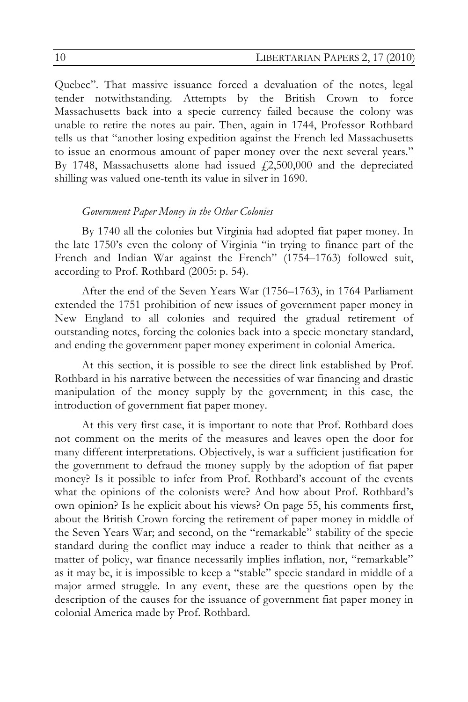Quebec". That massive issuance forced a devaluation of the notes, legal tender notwithstanding. Attempts by the British Crown to force Massachusetts back into a specie currency failed because the colony was unable to retire the notes au pair. Then, again in 1744, Professor Rothbard tells us that "another losing expedition against the French led Massachusetts to issue an enormous amount of paper money over the next several years." By 1748, Massachusetts alone had issued  $\sqrt{2,500,000}$  and the depreciated shilling was valued one-tenth its value in silver in 1690.

## *Government Paper Money in the Other Colonies*

By 1740 all the colonies but Virginia had adopted fiat paper money. In the late 1750's even the colony of Virginia "in trying to finance part of the French and Indian War against the French" (1754–1763) followed suit, according to Prof. Rothbard (2005: p. 54).

After the end of the Seven Years War (1756–1763), in 1764 Parliament extended the 1751 prohibition of new issues of government paper money in New England to all colonies and required the gradual retirement of outstanding notes, forcing the colonies back into a specie monetary standard, and ending the government paper money experiment in colonial America.

At this section, it is possible to see the direct link established by Prof. Rothbard in his narrative between the necessities of war financing and drastic manipulation of the money supply by the government; in this case, the introduction of government fiat paper money.

At this very first case, it is important to note that Prof. Rothbard does not comment on the merits of the measures and leaves open the door for many different interpretations. Objectively, is war a sufficient justification for the government to defraud the money supply by the adoption of fiat paper money? Is it possible to infer from Prof. Rothbard's account of the events what the opinions of the colonists were? And how about Prof. Rothbard's own opinion? Is he explicit about his views? On page 55, his comments first, about the British Crown forcing the retirement of paper money in middle of the Seven Years War; and second, on the "remarkable" stability of the specie standard during the conflict may induce a reader to think that neither as a matter of policy, war finance necessarily implies inflation, nor, "remarkable" as it may be, it is impossible to keep a "stable" specie standard in middle of a major armed struggle. In any event, these are the questions open by the description of the causes for the issuance of government fiat paper money in colonial America made by Prof. Rothbard.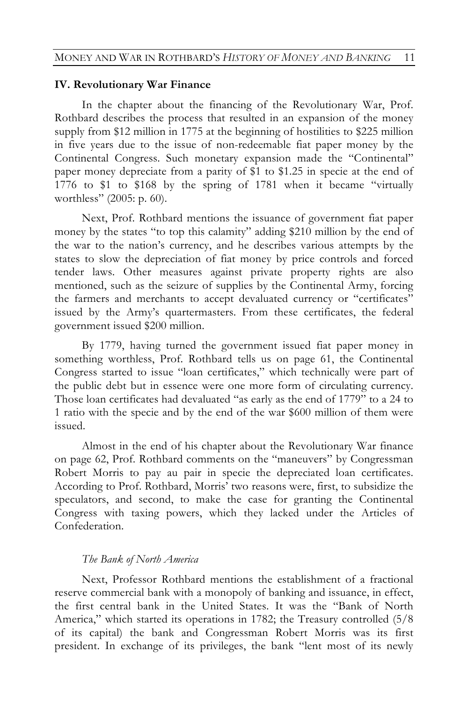### **IV. Revolutionary War Finance**

In the chapter about the financing of the Revolutionary War, Prof. Rothbard describes the process that resulted in an expansion of the money supply from \$12 million in 1775 at the beginning of hostilities to \$225 million in five years due to the issue of non-redeemable fiat paper money by the Continental Congress. Such monetary expansion made the "Continental" paper money depreciate from a parity of \$1 to \$1.25 in specie at the end of 1776 to \$1 to \$168 by the spring of 1781 when it became "virtually worthless" (2005: p. 60).

Next, Prof. Rothbard mentions the issuance of government fiat paper money by the states "to top this calamity" adding \$210 million by the end of the war to the nation's currency, and he describes various attempts by the states to slow the depreciation of fiat money by price controls and forced tender laws. Other measures against private property rights are also mentioned, such as the seizure of supplies by the Continental Army, forcing the farmers and merchants to accept devaluated currency or "certificates" issued by the Army's quartermasters. From these certificates, the federal government issued \$200 million.

By 1779, having turned the government issued fiat paper money in something worthless, Prof. Rothbard tells us on page 61, the Continental Congress started to issue "loan certificates," which technically were part of the public debt but in essence were one more form of circulating currency. Those loan certificates had devaluated "as early as the end of 1779" to a 24 to 1 ratio with the specie and by the end of the war \$600 million of them were issued.

Almost in the end of his chapter about the Revolutionary War finance on page 62, Prof. Rothbard comments on the "maneuvers" by Congressman Robert Morris to pay au pair in specie the depreciated loan certificates. According to Prof. Rothbard, Morris' two reasons were, first, to subsidize the speculators, and second, to make the case for granting the Continental Congress with taxing powers, which they lacked under the Articles of Confederation.

#### *The Bank of North America*

Next, Professor Rothbard mentions the establishment of a fractional reserve commercial bank with a monopoly of banking and issuance, in effect, the first central bank in the United States. It was the "Bank of North America," which started its operations in 1782; the Treasury controlled (5/8 of its capital) the bank and Congressman Robert Morris was its first president. In exchange of its privileges, the bank "lent most of its newly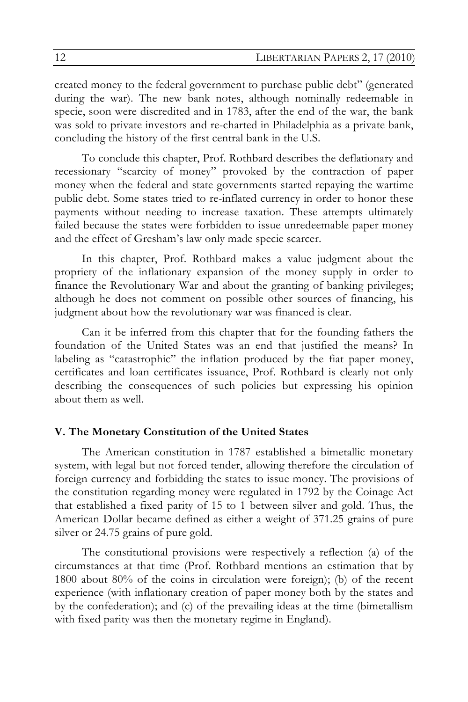created money to the federal government to purchase public debt" (generated during the war). The new bank notes, although nominally redeemable in specie, soon were discredited and in 1783, after the end of the war, the bank was sold to private investors and re-charted in Philadelphia as a private bank, concluding the history of the first central bank in the U.S.

To conclude this chapter, Prof. Rothbard describes the deflationary and recessionary "scarcity of money" provoked by the contraction of paper money when the federal and state governments started repaying the wartime public debt. Some states tried to re-inflated currency in order to honor these payments without needing to increase taxation. These attempts ultimately failed because the states were forbidden to issue unredeemable paper money and the effect of Gresham's law only made specie scarcer.

In this chapter, Prof. Rothbard makes a value judgment about the propriety of the inflationary expansion of the money supply in order to finance the Revolutionary War and about the granting of banking privileges; although he does not comment on possible other sources of financing, his judgment about how the revolutionary war was financed is clear.

Can it be inferred from this chapter that for the founding fathers the foundation of the United States was an end that justified the means? In labeling as "catastrophic" the inflation produced by the fiat paper money, certificates and loan certificates issuance, Prof. Rothbard is clearly not only describing the consequences of such policies but expressing his opinion about them as well.

## **V. The Monetary Constitution of the United States**

The American constitution in 1787 established a bimetallic monetary system, with legal but not forced tender, allowing therefore the circulation of foreign currency and forbidding the states to issue money. The provisions of the constitution regarding money were regulated in 1792 by the Coinage Act that established a fixed parity of 15 to 1 between silver and gold. Thus, the American Dollar became defined as either a weight of 371.25 grains of pure silver or 24.75 grains of pure gold.

The constitutional provisions were respectively a reflection (a) of the circumstances at that time (Prof. Rothbard mentions an estimation that by 1800 about 80% of the coins in circulation were foreign); (b) of the recent experience (with inflationary creation of paper money both by the states and by the confederation); and (c) of the prevailing ideas at the time (bimetallism with fixed parity was then the monetary regime in England).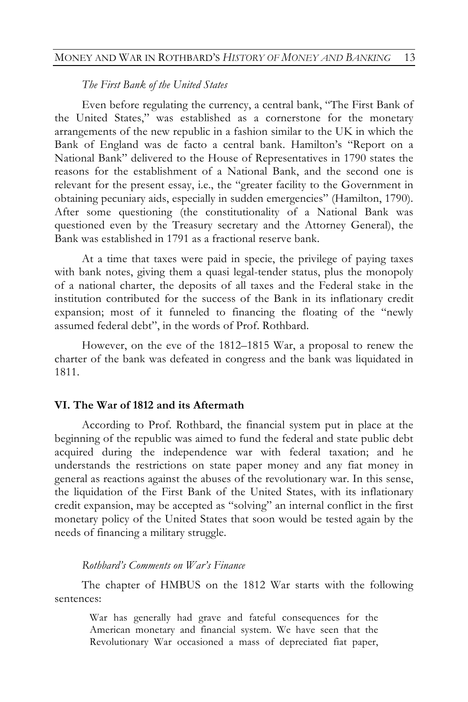#### *The First Bank of the United States*

Even before regulating the currency, a central bank, "The First Bank of the United States," was established as a cornerstone for the monetary arrangements of the new republic in a fashion similar to the UK in which the Bank of England was de facto a central bank. Hamilton's "Report on a National Bank" delivered to the House of Representatives in 1790 states the reasons for the establishment of a National Bank, and the second one is relevant for the present essay, i.e., the "greater facility to the Government in obtaining pecuniary aids, especially in sudden emergencies" (Hamilton, 1790). After some questioning (the constitutionality of a National Bank was questioned even by the Treasury secretary and the Attorney General), the Bank was established in 1791 as a fractional reserve bank.

At a time that taxes were paid in specie, the privilege of paying taxes with bank notes, giving them a quasi legal-tender status, plus the monopoly of a national charter, the deposits of all taxes and the Federal stake in the institution contributed for the success of the Bank in its inflationary credit expansion; most of it funneled to financing the floating of the "newly assumed federal debt", in the words of Prof. Rothbard.

However, on the eve of the 1812–1815 War, a proposal to renew the charter of the bank was defeated in congress and the bank was liquidated in 1811.

## **VI. The War of 1812 and its Aftermath**

According to Prof. Rothbard, the financial system put in place at the beginning of the republic was aimed to fund the federal and state public debt acquired during the independence war with federal taxation; and he understands the restrictions on state paper money and any fiat money in general as reactions against the abuses of the revolutionary war. In this sense, the liquidation of the First Bank of the United States, with its inflationary credit expansion, may be accepted as "solving" an internal conflict in the first monetary policy of the United States that soon would be tested again by the needs of financing a military struggle.

#### *Rothbard's Comments on War's Finance*

The chapter of HMBUS on the 1812 War starts with the following sentences:

War has generally had grave and fateful consequences for the American monetary and financial system. We have seen that the Revolutionary War occasioned a mass of depreciated fiat paper,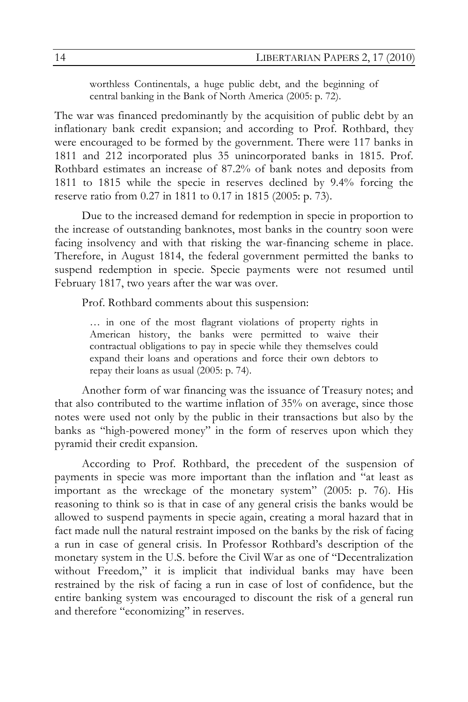worthless Continentals, a huge public debt, and the beginning of central banking in the Bank of North America (2005: p. 72).

The war was financed predominantly by the acquisition of public debt by an inflationary bank credit expansion; and according to Prof. Rothbard, they were encouraged to be formed by the government. There were 117 banks in 1811 and 212 incorporated plus 35 unincorporated banks in 1815. Prof. Rothbard estimates an increase of 87.2% of bank notes and deposits from 1811 to 1815 while the specie in reserves declined by 9.4% forcing the reserve ratio from 0.27 in 1811 to 0.17 in 1815 (2005: p. 73).

Due to the increased demand for redemption in specie in proportion to the increase of outstanding banknotes, most banks in the country soon were facing insolvency and with that risking the war-financing scheme in place. Therefore, in August 1814, the federal government permitted the banks to suspend redemption in specie. Specie payments were not resumed until February 1817, two years after the war was over.

Prof. Rothbard comments about this suspension:

… in one of the most flagrant violations of property rights in American history, the banks were permitted to waive their contractual obligations to pay in specie while they themselves could expand their loans and operations and force their own debtors to repay their loans as usual (2005: p. 74).

Another form of war financing was the issuance of Treasury notes; and that also contributed to the wartime inflation of 35% on average, since those notes were used not only by the public in their transactions but also by the banks as "high-powered money" in the form of reserves upon which they pyramid their credit expansion.

According to Prof. Rothbard, the precedent of the suspension of payments in specie was more important than the inflation and "at least as important as the wreckage of the monetary system" (2005: p. 76). His reasoning to think so is that in case of any general crisis the banks would be allowed to suspend payments in specie again, creating a moral hazard that in fact made null the natural restraint imposed on the banks by the risk of facing a run in case of general crisis. In Professor Rothbard's description of the monetary system in the U.S. before the Civil War as one of "Decentralization without Freedom," it is implicit that individual banks may have been restrained by the risk of facing a run in case of lost of confidence, but the entire banking system was encouraged to discount the risk of a general run and therefore "economizing" in reserves.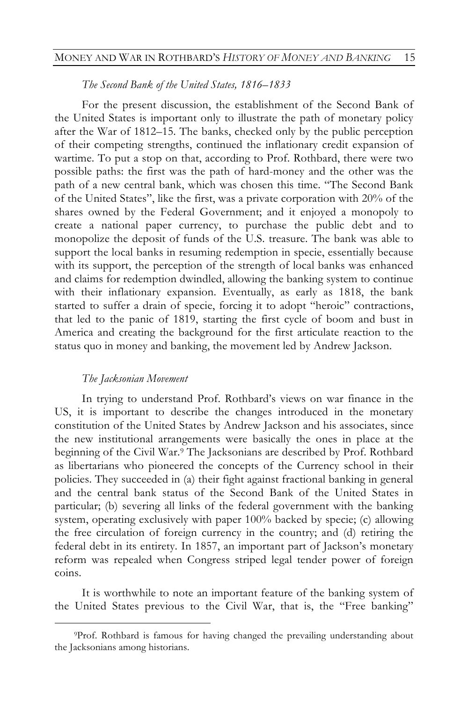# MONEY AND WAR IN ROTHBARD'S *HISTORY OF MONEY AND BANKING* 15

*The Second Bank of the United States, 1816–1833* 

For the present discussion, the establishment of the Second Bank of the United States is important only to illustrate the path of monetary policy after the War of 1812–15. The banks, checked only by the public perception of their competing strengths, continued the inflationary credit expansion of wartime. To put a stop on that, according to Prof. Rothbard, there were two possible paths: the first was the path of hard-money and the other was the path of a new central bank, which was chosen this time. "The Second Bank of the United States", like the first, was a private corporation with 20% of the shares owned by the Federal Government; and it enjoyed a monopoly to create a national paper currency, to purchase the public debt and to monopolize the deposit of funds of the U.S. treasure. The bank was able to support the local banks in resuming redemption in specie, essentially because with its support, the perception of the strength of local banks was enhanced and claims for redemption dwindled, allowing the banking system to continue with their inflationary expansion. Eventually, as early as 1818, the bank started to suffer a drain of specie, forcing it to adopt "heroic" contractions, that led to the panic of 1819, starting the first cycle of boom and bust in America and creating the background for the first articulate reaction to the status quo in money and banking, the movement led by Andrew Jackson.

#### *The Jacksonian Movement*

In trying to understand Prof. Rothbard's views on war finance in the US, it is important to describe the changes introduced in the monetary constitution of the United States by Andrew Jackson and his associates, since the new institutional arrangements were basically the ones in place at the beginning of the Civil War.9 The Jacksonians are described by Prof. Rothbard as libertarians who pioneered the concepts of the Currency school in their policies. They succeeded in (a) their fight against fractional banking in general and the central bank status of the Second Bank of the United States in particular; (b) severing all links of the federal government with the banking system, operating exclusively with paper 100% backed by specie; (c) allowing the free circulation of foreign currency in the country; and (d) retiring the federal debt in its entirety. In 1857, an important part of Jackson's monetary reform was repealed when Congress striped legal tender power of foreign coins.

It is worthwhile to note an important feature of the banking system of the United States previous to the Civil War, that is, the "Free banking"

 <sup>9</sup>Prof. Rothbard is famous for having changed the prevailing understanding about the Jacksonians among historians.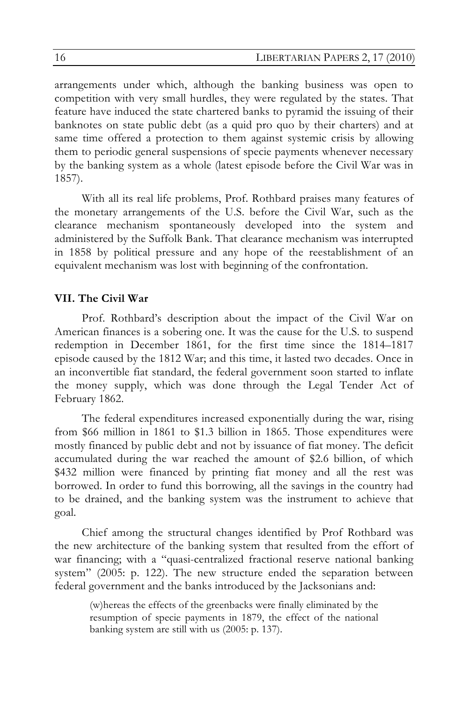arrangements under which, although the banking business was open to competition with very small hurdles, they were regulated by the states. That feature have induced the state chartered banks to pyramid the issuing of their banknotes on state public debt (as a quid pro quo by their charters) and at same time offered a protection to them against systemic crisis by allowing them to periodic general suspensions of specie payments whenever necessary by the banking system as a whole (latest episode before the Civil War was in 1857).

With all its real life problems, Prof. Rothbard praises many features of the monetary arrangements of the U.S. before the Civil War, such as the clearance mechanism spontaneously developed into the system and administered by the Suffolk Bank. That clearance mechanism was interrupted in 1858 by political pressure and any hope of the reestablishment of an equivalent mechanism was lost with beginning of the confrontation.

# **VII. The Civil War**

Prof. Rothbard's description about the impact of the Civil War on American finances is a sobering one. It was the cause for the U.S. to suspend redemption in December 1861, for the first time since the 1814–1817 episode caused by the 1812 War; and this time, it lasted two decades. Once in an inconvertible fiat standard, the federal government soon started to inflate the money supply, which was done through the Legal Tender Act of February 1862.

The federal expenditures increased exponentially during the war, rising from \$66 million in 1861 to \$1.3 billion in 1865. Those expenditures were mostly financed by public debt and not by issuance of fiat money. The deficit accumulated during the war reached the amount of \$2.6 billion, of which \$432 million were financed by printing fiat money and all the rest was borrowed. In order to fund this borrowing, all the savings in the country had to be drained, and the banking system was the instrument to achieve that goal.

Chief among the structural changes identified by Prof Rothbard was the new architecture of the banking system that resulted from the effort of war financing; with a "quasi-centralized fractional reserve national banking system" (2005: p. 122). The new structure ended the separation between federal government and the banks introduced by the Jacksonians and:

(w)hereas the effects of the greenbacks were finally eliminated by the resumption of specie payments in 1879, the effect of the national banking system are still with us (2005: p. 137).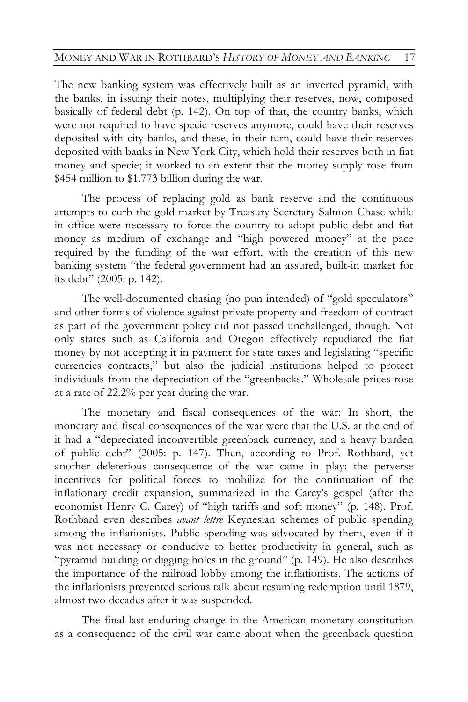The new banking system was effectively built as an inverted pyramid, with the banks, in issuing their notes, multiplying their reserves, now, composed basically of federal debt (p. 142). On top of that, the country banks, which were not required to have specie reserves anymore, could have their reserves deposited with city banks, and these, in their turn, could have their reserves deposited with banks in New York City, which hold their reserves both in fiat money and specie; it worked to an extent that the money supply rose from \$454 million to \$1.773 billion during the war.

The process of replacing gold as bank reserve and the continuous attempts to curb the gold market by Treasury Secretary Salmon Chase while in office were necessary to force the country to adopt public debt and fiat money as medium of exchange and "high powered money" at the pace required by the funding of the war effort, with the creation of this new banking system "the federal government had an assured, built-in market for its debt" (2005: p. 142).

The well-documented chasing (no pun intended) of "gold speculators" and other forms of violence against private property and freedom of contract as part of the government policy did not passed unchallenged, though. Not only states such as California and Oregon effectively repudiated the fiat money by not accepting it in payment for state taxes and legislating "specific currencies contracts," but also the judicial institutions helped to protect individuals from the depreciation of the "greenbacks." Wholesale prices rose at a rate of 22.2% per year during the war.

The monetary and fiscal consequences of the war: In short, the monetary and fiscal consequences of the war were that the U.S. at the end of it had a "depreciated inconvertible greenback currency, and a heavy burden of public debt" (2005: p. 147). Then, according to Prof. Rothbard, yet another deleterious consequence of the war came in play: the perverse incentives for political forces to mobilize for the continuation of the inflationary credit expansion, summarized in the Carey's gospel (after the economist Henry C. Carey) of "high tariffs and soft money" (p. 148). Prof. Rothbard even describes *avant lettre* Keynesian schemes of public spending among the inflationists. Public spending was advocated by them, even if it was not necessary or conducive to better productivity in general, such as "pyramid building or digging holes in the ground" (p. 149). He also describes the importance of the railroad lobby among the inflationists. The actions of the inflationists prevented serious talk about resuming redemption until 1879, almost two decades after it was suspended.

The final last enduring change in the American monetary constitution as a consequence of the civil war came about when the greenback question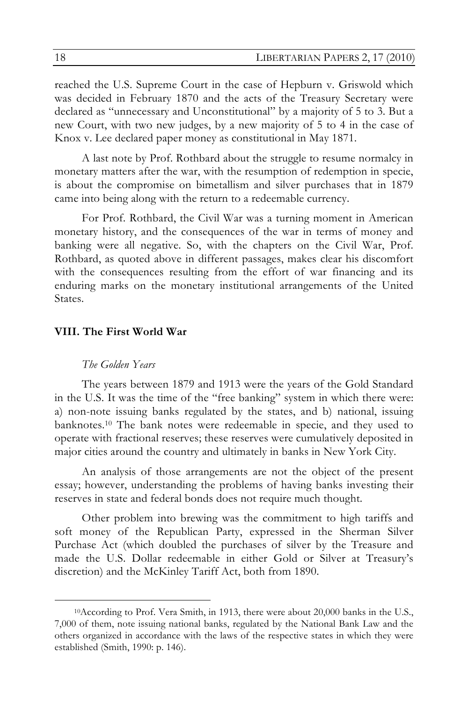reached the U.S. Supreme Court in the case of Hepburn v. Griswold which was decided in February 1870 and the acts of the Treasury Secretary were declared as "unnecessary and Unconstitutional" by a majority of 5 to 3. But a new Court, with two new judges, by a new majority of 5 to 4 in the case of Knox v. Lee declared paper money as constitutional in May 1871.

A last note by Prof. Rothbard about the struggle to resume normalcy in monetary matters after the war, with the resumption of redemption in specie, is about the compromise on bimetallism and silver purchases that in 1879 came into being along with the return to a redeemable currency.

For Prof. Rothbard, the Civil War was a turning moment in American monetary history, and the consequences of the war in terms of money and banking were all negative. So, with the chapters on the Civil War, Prof. Rothbard, as quoted above in different passages, makes clear his discomfort with the consequences resulting from the effort of war financing and its enduring marks on the monetary institutional arrangements of the United States.

# **VIII. The First World War**

#### *The Golden Years*

The years between 1879 and 1913 were the years of the Gold Standard in the U.S. It was the time of the "free banking" system in which there were: a) non-note issuing banks regulated by the states, and b) national, issuing banknotes.10 The bank notes were redeemable in specie, and they used to operate with fractional reserves; these reserves were cumulatively deposited in major cities around the country and ultimately in banks in New York City.

An analysis of those arrangements are not the object of the present essay; however, understanding the problems of having banks investing their reserves in state and federal bonds does not require much thought.

Other problem into brewing was the commitment to high tariffs and soft money of the Republican Party, expressed in the Sherman Silver Purchase Act (which doubled the purchases of silver by the Treasure and made the U.S. Dollar redeemable in either Gold or Silver at Treasury's discretion) and the McKinley Tariff Act, both from 1890.

 <sup>10</sup>According to Prof. Vera Smith, in 1913, there were about 20,000 banks in the U.S., 7,000 of them, note issuing national banks, regulated by the National Bank Law and the others organized in accordance with the laws of the respective states in which they were established (Smith, 1990: p. 146).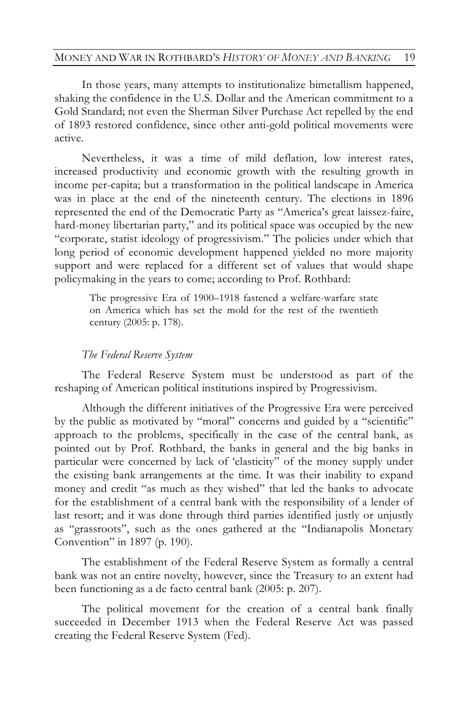In those years, many attempts to institutionalize bimetallism happened, shaking the confidence in the U.S. Dollar and the American commitment to a Gold Standard; not even the Sherman Silver Purchase Act repelled by the end of 1893 restored confidence, since other anti-gold political movements were active.

Nevertheless, it was a time of mild deflation, low interest rates, increased productivity and economic growth with the resulting growth in income per-capita; but a transformation in the political landscape in America was in place at the end of the nineteenth century. The elections in 1896 represented the end of the Democratic Party as "America's great laissez-faire, hard-money libertarian party," and its political space was occupied by the new "corporate, statist ideology of progressivism." The policies under which that long period of economic development happened yielded no more majority support and were replaced for a different set of values that would shape policymaking in the years to come; according to Prof. Rothbard:

The progressive Era of 1900–1918 fastened a welfare-warfare state on America which has set the mold for the rest of the twentieth century (2005: p. 178).

## *The Federal Reserve System*

The Federal Reserve System must be understood as part of the reshaping of American political institutions inspired by Progressivism.

Although the different initiatives of the Progressive Era were perceived by the public as motivated by "moral" concerns and guided by a "scientific" approach to the problems, specifically in the case of the central bank, as pointed out by Prof. Rothbard, the banks in general and the big banks in particular were concerned by lack of 'elasticity" of the money supply under the existing bank arrangements at the time. It was their inability to expand money and credit "as much as they wished" that led the banks to advocate for the establishment of a central bank with the responsibility of a lender of last resort; and it was done through third parties identified justly or unjustly as "grassroots", such as the ones gathered at the "Indianapolis Monetary Convention" in 1897 (p. 190).

The establishment of the Federal Reserve System as formally a central bank was not an entire novelty, however, since the Treasury to an extent had been functioning as a de facto central bank (2005: p. 207).

The political movement for the creation of a central bank finally succeeded in December 1913 when the Federal Reserve Act was passed creating the Federal Reserve System (Fed).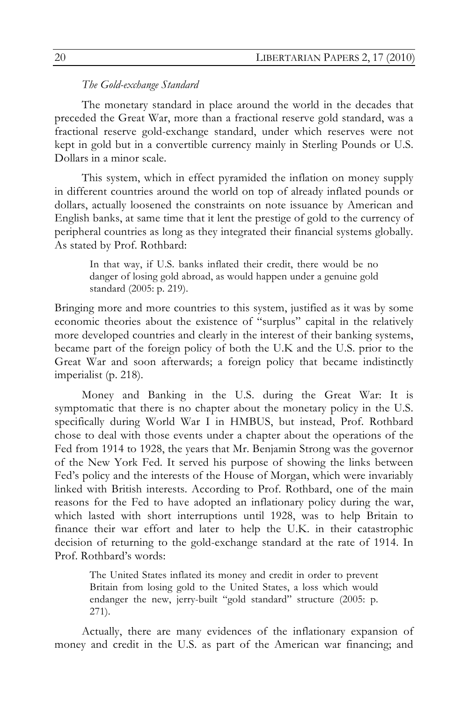# *The Gold-exchange Standard*

The monetary standard in place around the world in the decades that preceded the Great War, more than a fractional reserve gold standard, was a fractional reserve gold-exchange standard, under which reserves were not kept in gold but in a convertible currency mainly in Sterling Pounds or U.S. Dollars in a minor scale.

This system, which in effect pyramided the inflation on money supply in different countries around the world on top of already inflated pounds or dollars, actually loosened the constraints on note issuance by American and English banks, at same time that it lent the prestige of gold to the currency of peripheral countries as long as they integrated their financial systems globally. As stated by Prof. Rothbard:

In that way, if U.S. banks inflated their credit, there would be no danger of losing gold abroad, as would happen under a genuine gold standard (2005: p. 219).

Bringing more and more countries to this system, justified as it was by some economic theories about the existence of "surplus" capital in the relatively more developed countries and clearly in the interest of their banking systems, became part of the foreign policy of both the U.K and the U.S. prior to the Great War and soon afterwards; a foreign policy that became indistinctly imperialist (p. 218).

Money and Banking in the U.S. during the Great War: It is symptomatic that there is no chapter about the monetary policy in the U.S. specifically during World War I in HMBUS, but instead, Prof. Rothbard chose to deal with those events under a chapter about the operations of the Fed from 1914 to 1928, the years that Mr. Benjamin Strong was the governor of the New York Fed. It served his purpose of showing the links between Fed's policy and the interests of the House of Morgan, which were invariably linked with British interests. According to Prof. Rothbard, one of the main reasons for the Fed to have adopted an inflationary policy during the war, which lasted with short interruptions until 1928, was to help Britain to finance their war effort and later to help the U.K. in their catastrophic decision of returning to the gold-exchange standard at the rate of 1914. In Prof. Rothbard's words:

The United States inflated its money and credit in order to prevent Britain from losing gold to the United States, a loss which would endanger the new, jerry-built "gold standard" structure (2005: p. 271).

Actually, there are many evidences of the inflationary expansion of money and credit in the U.S. as part of the American war financing; and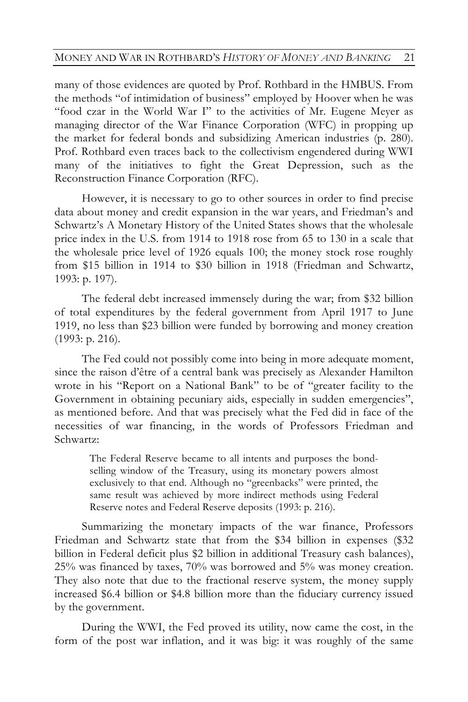many of those evidences are quoted by Prof. Rothbard in the HMBUS. From the methods "of intimidation of business" employed by Hoover when he was "food czar in the World War I" to the activities of Mr. Eugene Meyer as managing director of the War Finance Corporation (WFC) in propping up the market for federal bonds and subsidizing American industries (p. 280). Prof. Rothbard even traces back to the collectivism engendered during WWI many of the initiatives to fight the Great Depression, such as the Reconstruction Finance Corporation (RFC).

However, it is necessary to go to other sources in order to find precise data about money and credit expansion in the war years, and Friedman's and Schwartz's A Monetary History of the United States shows that the wholesale price index in the U.S. from 1914 to 1918 rose from 65 to 130 in a scale that the wholesale price level of 1926 equals 100; the money stock rose roughly from \$15 billion in 1914 to \$30 billion in 1918 (Friedman and Schwartz, 1993: p. 197).

The federal debt increased immensely during the war; from \$32 billion of total expenditures by the federal government from April 1917 to June 1919, no less than \$23 billion were funded by borrowing and money creation (1993: p. 216).

The Fed could not possibly come into being in more adequate moment, since the raison d'être of a central bank was precisely as Alexander Hamilton wrote in his "Report on a National Bank" to be of "greater facility to the Government in obtaining pecuniary aids, especially in sudden emergencies", as mentioned before. And that was precisely what the Fed did in face of the necessities of war financing, in the words of Professors Friedman and Schwartz:

The Federal Reserve became to all intents and purposes the bondselling window of the Treasury, using its monetary powers almost exclusively to that end. Although no "greenbacks" were printed, the same result was achieved by more indirect methods using Federal Reserve notes and Federal Reserve deposits (1993: p. 216).

Summarizing the monetary impacts of the war finance, Professors Friedman and Schwartz state that from the \$34 billion in expenses (\$32 billion in Federal deficit plus \$2 billion in additional Treasury cash balances), 25% was financed by taxes, 70% was borrowed and 5% was money creation. They also note that due to the fractional reserve system, the money supply increased \$6.4 billion or \$4.8 billion more than the fiduciary currency issued by the government.

During the WWI, the Fed proved its utility, now came the cost, in the form of the post war inflation, and it was big: it was roughly of the same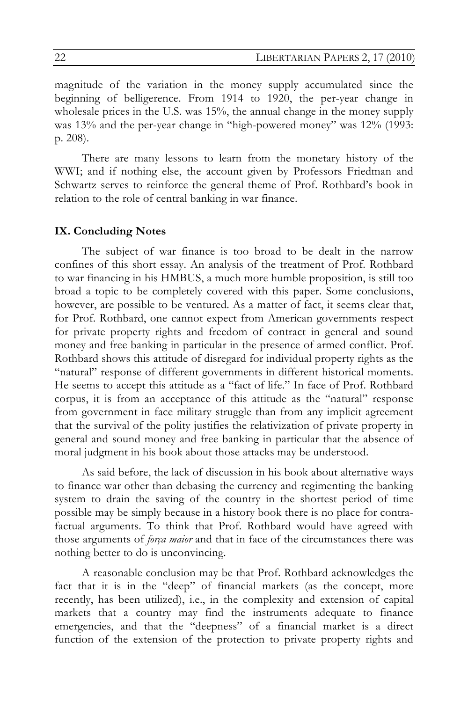magnitude of the variation in the money supply accumulated since the beginning of belligerence. From 1914 to 1920, the per-year change in wholesale prices in the U.S. was 15%, the annual change in the money supply was 13% and the per-year change in "high-powered money" was 12% (1993: p. 208).

There are many lessons to learn from the monetary history of the WWI; and if nothing else, the account given by Professors Friedman and Schwartz serves to reinforce the general theme of Prof. Rothbard's book in relation to the role of central banking in war finance.

## **IX. Concluding Notes**

The subject of war finance is too broad to be dealt in the narrow confines of this short essay. An analysis of the treatment of Prof. Rothbard to war financing in his HMBUS, a much more humble proposition, is still too broad a topic to be completely covered with this paper. Some conclusions, however, are possible to be ventured. As a matter of fact, it seems clear that, for Prof. Rothbard, one cannot expect from American governments respect for private property rights and freedom of contract in general and sound money and free banking in particular in the presence of armed conflict. Prof. Rothbard shows this attitude of disregard for individual property rights as the "natural" response of different governments in different historical moments. He seems to accept this attitude as a "fact of life." In face of Prof. Rothbard corpus, it is from an acceptance of this attitude as the "natural" response from government in face military struggle than from any implicit agreement that the survival of the polity justifies the relativization of private property in general and sound money and free banking in particular that the absence of moral judgment in his book about those attacks may be understood.

As said before, the lack of discussion in his book about alternative ways to finance war other than debasing the currency and regimenting the banking system to drain the saving of the country in the shortest period of time possible may be simply because in a history book there is no place for contrafactual arguments. To think that Prof. Rothbard would have agreed with those arguments of *força maior* and that in face of the circumstances there was nothing better to do is unconvincing.

A reasonable conclusion may be that Prof. Rothbard acknowledges the fact that it is in the "deep" of financial markets (as the concept, more recently, has been utilized), i.e., in the complexity and extension of capital markets that a country may find the instruments adequate to finance emergencies, and that the "deepness" of a financial market is a direct function of the extension of the protection to private property rights and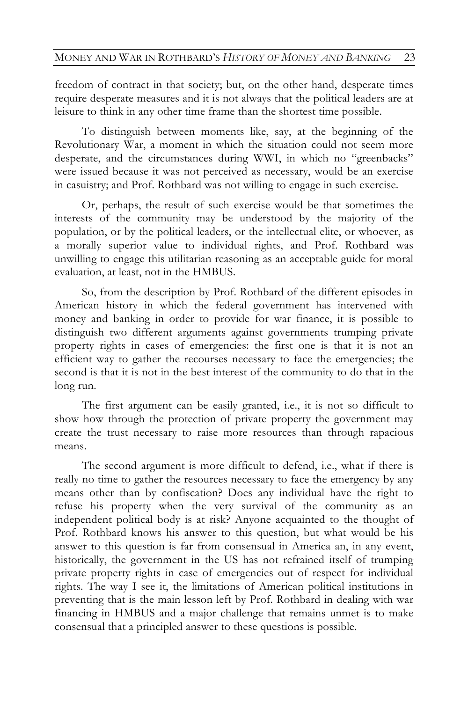freedom of contract in that society; but, on the other hand, desperate times require desperate measures and it is not always that the political leaders are at leisure to think in any other time frame than the shortest time possible.

To distinguish between moments like, say, at the beginning of the Revolutionary War, a moment in which the situation could not seem more desperate, and the circumstances during WWI, in which no "greenbacks" were issued because it was not perceived as necessary, would be an exercise in casuistry; and Prof. Rothbard was not willing to engage in such exercise.

Or, perhaps, the result of such exercise would be that sometimes the interests of the community may be understood by the majority of the population, or by the political leaders, or the intellectual elite, or whoever, as a morally superior value to individual rights, and Prof. Rothbard was unwilling to engage this utilitarian reasoning as an acceptable guide for moral evaluation, at least, not in the HMBUS.

So, from the description by Prof. Rothbard of the different episodes in American history in which the federal government has intervened with money and banking in order to provide for war finance, it is possible to distinguish two different arguments against governments trumping private property rights in cases of emergencies: the first one is that it is not an efficient way to gather the recourses necessary to face the emergencies; the second is that it is not in the best interest of the community to do that in the long run.

The first argument can be easily granted, i.e., it is not so difficult to show how through the protection of private property the government may create the trust necessary to raise more resources than through rapacious means.

The second argument is more difficult to defend, i.e., what if there is really no time to gather the resources necessary to face the emergency by any means other than by confiscation? Does any individual have the right to refuse his property when the very survival of the community as an independent political body is at risk? Anyone acquainted to the thought of Prof. Rothbard knows his answer to this question, but what would be his answer to this question is far from consensual in America an, in any event, historically, the government in the US has not refrained itself of trumping private property rights in case of emergencies out of respect for individual rights. The way I see it, the limitations of American political institutions in preventing that is the main lesson left by Prof. Rothbard in dealing with war financing in HMBUS and a major challenge that remains unmet is to make consensual that a principled answer to these questions is possible.